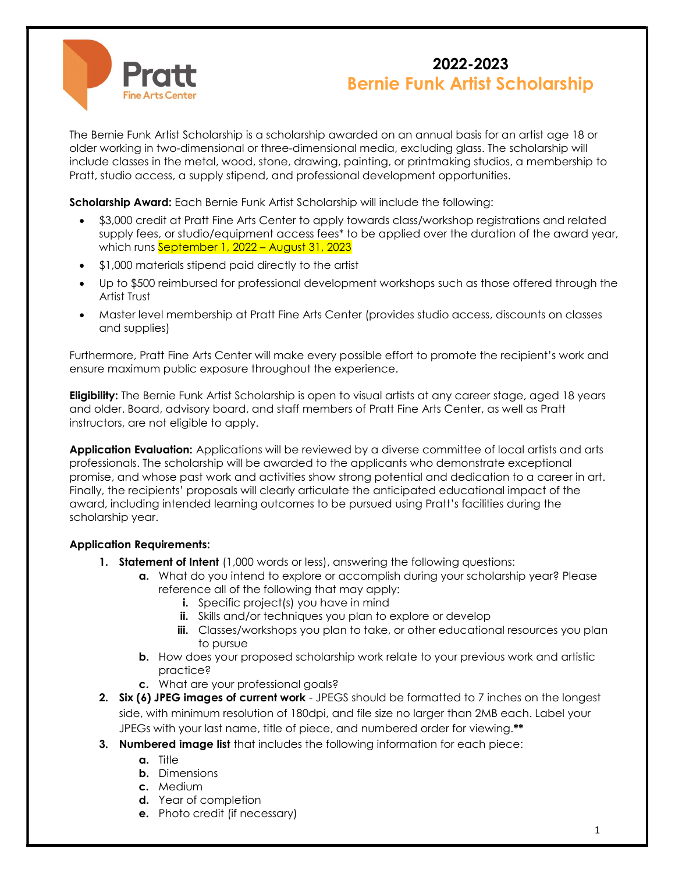

# 2022-2023 Bernie Funk Artist Scholarship

The Bernie Funk Artist Scholarship is a scholarship awarded on an annual basis for an artist age 18 or older working in two-dimensional or three-dimensional media, excluding glass. The scholarship will include classes in the metal, wood, stone, drawing, painting, or printmaking studios, a membership to Pratt, studio access, a supply stipend, and professional development opportunities.

Scholarship Award: Each Bernie Funk Artist Scholarship will include the following:

- \$3,000 credit at Pratt Fine Arts Center to apply towards class/workshop registrations and related supply fees, or studio/equipment access fees\* to be applied over the duration of the award year, which runs September 1, 2022 – August 31, 2023
- \$1,000 materials stipend paid directly to the artist
- Up to \$500 reimbursed for professional development workshops such as those offered through the Artist Trust
- Master level membership at Pratt Fine Arts Center (provides studio access, discounts on classes and supplies)

Furthermore, Pratt Fine Arts Center will make every possible effort to promote the recipient's work and ensure maximum public exposure throughout the experience.

**Eligibility:** The Bernie Funk Artist Scholarship is open to visual artists at any career stage, aged 18 years and older. Board, advisory board, and staff members of Pratt Fine Arts Center, as well as Pratt instructors, are not eligible to apply.

Application Evaluation: Applications will be reviewed by a diverse committee of local artists and arts professionals. The scholarship will be awarded to the applicants who demonstrate exceptional promise, and whose past work and activities show strong potential and dedication to a career in art. Finally, the recipients' proposals will clearly articulate the anticipated educational impact of the award, including intended learning outcomes to be pursued using Pratt's facilities during the scholarship year.

## Application Requirements:

- 1. Statement of Intent (1,000 words or less), answering the following questions:
	- a. What do you intend to explore or accomplish during your scholarship year? Please reference all of the following that may apply:
		- **i.** Specific project(s) you have in mind
		- ii. Skills and/or techniques you plan to explore or develop
		- iii. Classes/workshops you plan to take, or other educational resources you plan to pursue
	- b. How does your proposed scholarship work relate to your previous work and artistic practice?
	- c. What are your professional goals?
- 2. Six (6) JPEG images of current work JPEGS should be formatted to 7 inches on the longest side, with minimum resolution of 180dpi, and file size no larger than 2MB each. Label your JPEGs with your last name, title of piece, and numbered order for viewing.\*\*
- **3. Numbered image list** that includes the following information for each piece:
	- a. Title
		- **b.** Dimensions
		- c. Medium
		- d. Year of completion
		- e. Photo credit (if necessary)